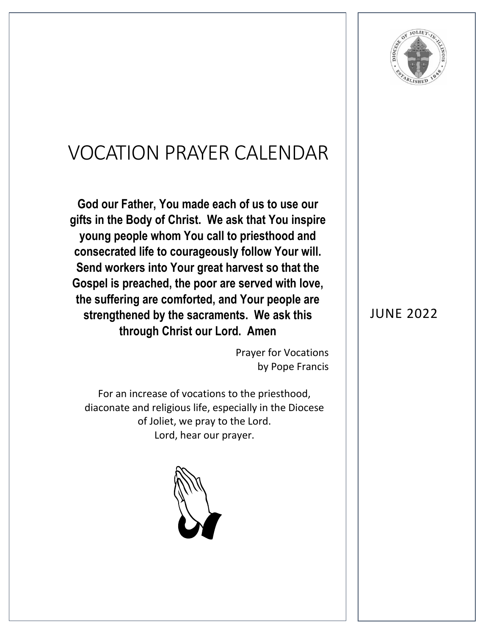

## VOCATION PRAYER CALENDAR

**God our Father, You made each of us to use our gifts in the Body of Christ. We ask that You inspire young people whom You call to priesthood and consecrated life to courageously follow Your will. Send workers into Your great harvest so that the Gospel is preached, the poor are served with love, the suffering are comforted, and Your people are strengthened by the sacraments. We ask this through Christ our Lord. Amen**

> Prayer for Vocations by Pope Francis

For an increase of vocations to the priesthood, diaconate and religious life, especially in the Diocese of Joliet, we pray to the Lord. Lord, hear our prayer.



## JUNE 2022